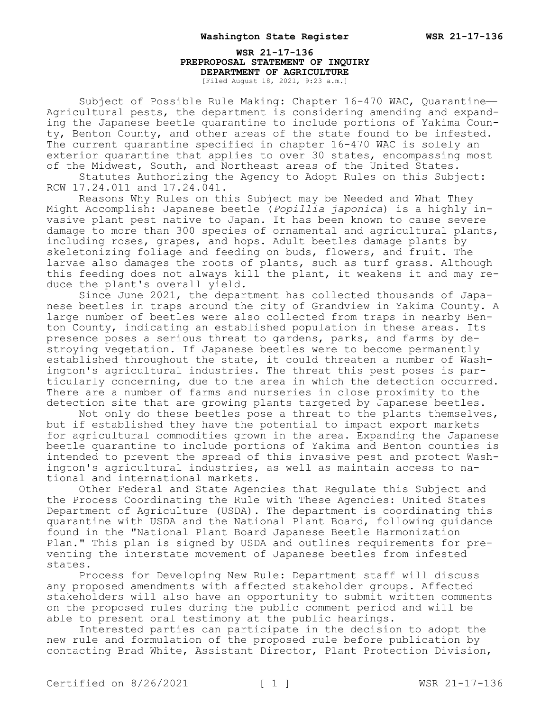## **WSR 21-17-136 PREPROPOSAL STATEMENT OF INQUIRY DEPARTMENT OF AGRICULTURE** [Filed August 18, 2021, 9:23 a.m.]

Subject of Possible Rule Making: Chapter 16-470 WAC, Quarantine— Agricultural pests, the department is considering amending and expanding the Japanese beetle quarantine to include portions of Yakima County, Benton County, and other areas of the state found to be infested. The current quarantine specified in chapter 16-470 WAC is solely an exterior quarantine that applies to over 30 states, encompassing most of the Midwest, South, and Northeast areas of the United States.

Statutes Authorizing the Agency to Adopt Rules on this Subject: RCW 17.24.011 and 17.24.041.

Reasons Why Rules on this Subject may be Needed and What They Might Accomplish: Japanese beetle (*Popillia japonica*) is a highly invasive plant pest native to Japan. It has been known to cause severe damage to more than 300 species of ornamental and agricultural plants, including roses, grapes, and hops. Adult beetles damage plants by skeletonizing foliage and feeding on buds, flowers, and fruit. The larvae also damages the roots of plants, such as turf grass. Although this feeding does not always kill the plant, it weakens it and may reduce the plant's overall yield.

Since June 2021, the department has collected thousands of Japanese beetles in traps around the city of Grandview in Yakima County. A large number of beetles were also collected from traps in nearby Benton County, indicating an established population in these areas. Its presence poses a serious threat to gardens, parks, and farms by destroying vegetation. If Japanese beetles were to become permanently established throughout the state, it could threaten a number of Washington's agricultural industries. The threat this pest poses is particularly concerning, due to the area in which the detection occurred. There are a number of farms and nurseries in close proximity to the detection site that are growing plants targeted by Japanese beetles.

Not only do these beetles pose a threat to the plants themselves, but if established they have the potential to impact export markets for agricultural commodities grown in the area. Expanding the Japanese beetle quarantine to include portions of Yakima and Benton counties is intended to prevent the spread of this invasive pest and protect Washington's agricultural industries, as well as maintain access to national and international markets.

Other Federal and State Agencies that Regulate this Subject and the Process Coordinating the Rule with These Agencies: United States Department of Agriculture (USDA). The department is coordinating this quarantine with USDA and the National Plant Board, following guidance found in the "National Plant Board Japanese Beetle Harmonization Plan." This plan is signed by USDA and outlines requirements for preventing the interstate movement of Japanese beetles from infested states.

Process for Developing New Rule: Department staff will discuss any proposed amendments with affected stakeholder groups. Affected stakeholders will also have an opportunity to submit written comments on the proposed rules during the public comment period and will be able to present oral testimony at the public hearings.

Interested parties can participate in the decision to adopt the new rule and formulation of the proposed rule before publication by contacting Brad White, Assistant Director, Plant Protection Division,